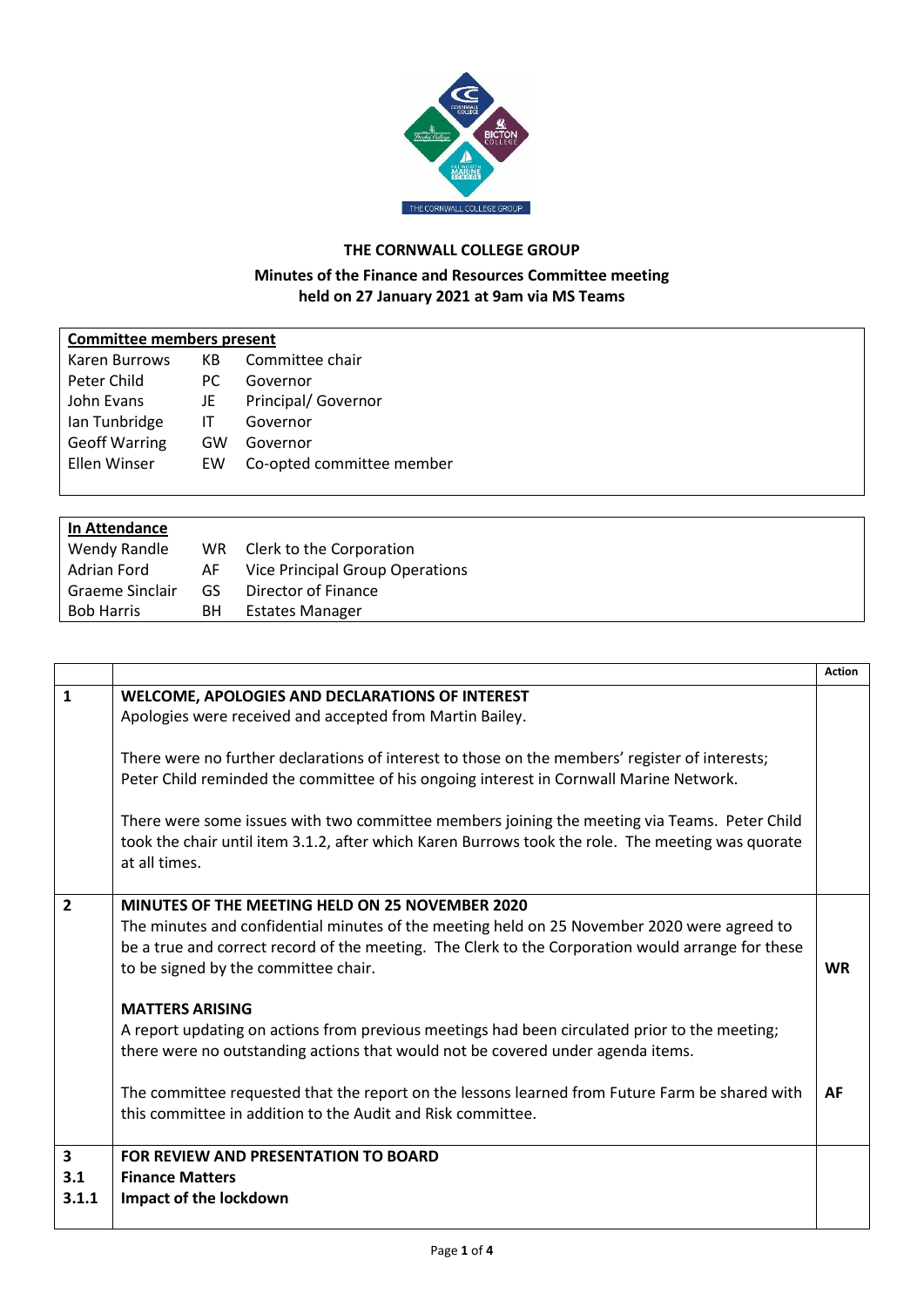

## **THE CORNWALL COLLEGE GROUP**

## **Minutes of the Finance and Resources Committee meeting held on 27 January 2021 at 9am via MS Teams**

| <b>Committee members present</b> |     |                           |  |  |  |  |  |
|----------------------------------|-----|---------------------------|--|--|--|--|--|
| Karen Burrows                    | KB  | Committee chair           |  |  |  |  |  |
| Peter Child                      | PC. | Governor                  |  |  |  |  |  |
| John Evans                       | JE  | Principal/ Governor       |  |  |  |  |  |
| Ian Tunbridge                    | IT  | Governor                  |  |  |  |  |  |
| <b>Geoff Warring</b>             | GW  | Governor                  |  |  |  |  |  |
| Ellen Winser                     | EW  | Co-opted committee member |  |  |  |  |  |
|                                  |     |                           |  |  |  |  |  |
| In Attendance                    |     |                           |  |  |  |  |  |

| <b>In Attendance</b> |      |                                    |
|----------------------|------|------------------------------------|
| Wendy Randle         |      | WR Clerk to the Corporation        |
| Adrian Ford          |      | AF Vice Principal Group Operations |
| Graeme Sinclair      | GS - | Director of Finance                |
| Bob Harris           | BH.  | Estates Manager                    |
|                      |      |                                    |

|                |                                                                                                   | <b>Action</b> |
|----------------|---------------------------------------------------------------------------------------------------|---------------|
| $\mathbf{1}$   | WELCOME, APOLOGIES AND DECLARATIONS OF INTEREST                                                   |               |
|                | Apologies were received and accepted from Martin Bailey.                                          |               |
|                |                                                                                                   |               |
|                | There were no further declarations of interest to those on the members' register of interests;    |               |
|                | Peter Child reminded the committee of his ongoing interest in Cornwall Marine Network.            |               |
|                |                                                                                                   |               |
|                | There were some issues with two committee members joining the meeting via Teams. Peter Child      |               |
|                | took the chair until item 3.1.2, after which Karen Burrows took the role. The meeting was quorate |               |
|                | at all times.                                                                                     |               |
| $\overline{2}$ | MINUTES OF THE MEETING HELD ON 25 NOVEMBER 2020                                                   |               |
|                | The minutes and confidential minutes of the meeting held on 25 November 2020 were agreed to       |               |
|                | be a true and correct record of the meeting. The Clerk to the Corporation would arrange for these |               |
|                | to be signed by the committee chair.                                                              | <b>WR</b>     |
|                |                                                                                                   |               |
|                | <b>MATTERS ARISING</b>                                                                            |               |
|                | A report updating on actions from previous meetings had been circulated prior to the meeting;     |               |
|                | there were no outstanding actions that would not be covered under agenda items.                   |               |
|                |                                                                                                   |               |
|                | The committee requested that the report on the lessons learned from Future Farm be shared with    | AF            |
|                | this committee in addition to the Audit and Risk committee.                                       |               |
|                |                                                                                                   |               |
| 3<br>3.1       | FOR REVIEW AND PRESENTATION TO BOARD<br><b>Finance Matters</b>                                    |               |
| 3.1.1          | Impact of the lockdown                                                                            |               |
|                |                                                                                                   |               |
|                |                                                                                                   |               |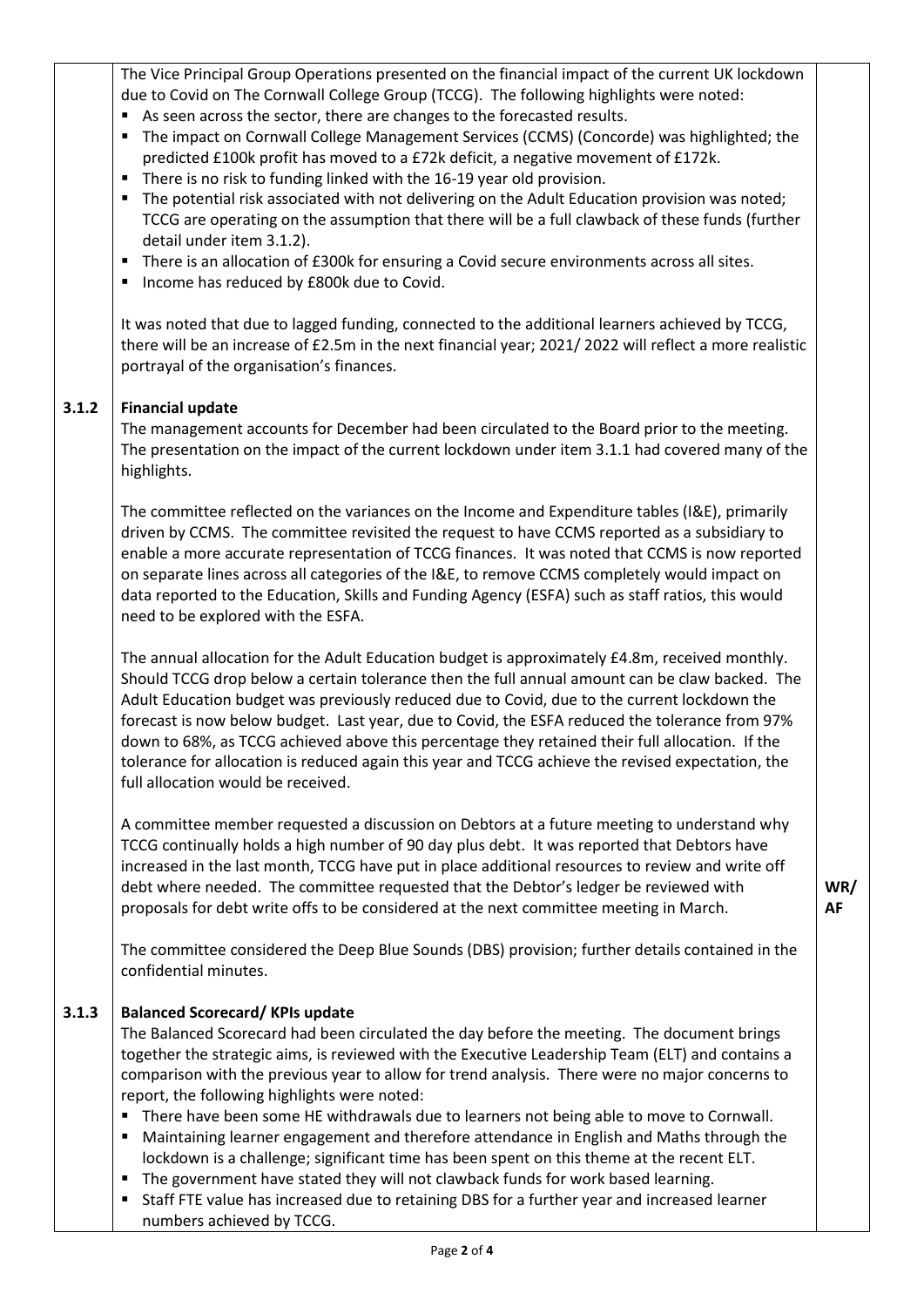The Vice Principal Group Operations presented on the financial impact of the current UK lockdown due to Covid on The Cornwall College Group (TCCG). The following highlights were noted:

- As seen across the sector, there are changes to the forecasted results.
- The impact on Cornwall College Management Services (CCMS) (Concorde) was highlighted; the predicted £100k profit has moved to a £72k deficit, a negative movement of £172k.
- There is no risk to funding linked with the 16-19 year old provision.
- The potential risk associated with not delivering on the Adult Education provision was noted; TCCG are operating on the assumption that there will be a full clawback of these funds (further detail under item 3.1.2).
- There is an allocation of £300k for ensuring a Covid secure environments across all sites.
- Income has reduced by £800k due to Covid.

It was noted that due to lagged funding, connected to the additional learners achieved by TCCG, there will be an increase of £2.5m in the next financial year; 2021/ 2022 will reflect a more realistic portrayal of the organisation's finances.

## **3.1.2 Financial update**

The management accounts for December had been circulated to the Board prior to the meeting. The presentation on the impact of the current lockdown under item 3.1.1 had covered many of the highlights.

The committee reflected on the variances on the Income and Expenditure tables (I&E), primarily driven by CCMS. The committee revisited the request to have CCMS reported as a subsidiary to enable a more accurate representation of TCCG finances. It was noted that CCMS is now reported on separate lines across all categories of the I&E, to remove CCMS completely would impact on data reported to the Education, Skills and Funding Agency (ESFA) such as staff ratios, this would need to be explored with the ESFA.

The annual allocation for the Adult Education budget is approximately £4.8m, received monthly. Should TCCG drop below a certain tolerance then the full annual amount can be claw backed. The Adult Education budget was previously reduced due to Covid, due to the current lockdown the forecast is now below budget. Last year, due to Covid, the ESFA reduced the tolerance from 97% down to 68%, as TCCG achieved above this percentage they retained their full allocation. If the tolerance for allocation is reduced again this year and TCCG achieve the revised expectation, the full allocation would be received.

A committee member requested a discussion on Debtors at a future meeting to understand why TCCG continually holds a high number of 90 day plus debt. It was reported that Debtors have increased in the last month, TCCG have put in place additional resources to review and write off debt where needed. The committee requested that the Debtor's ledger be reviewed with proposals for debt write offs to be considered at the next committee meeting in March.

The committee considered the Deep Blue Sounds (DBS) provision; further details contained in the confidential minutes.

## **3.1.3 Balanced Scorecard/ KPIs update**

The Balanced Scorecard had been circulated the day before the meeting. The document brings together the strategic aims, is reviewed with the Executive Leadership Team (ELT) and contains a comparison with the previous year to allow for trend analysis. There were no major concerns to report, the following highlights were noted:

- **There have been some HE withdrawals due to learners not being able to move to Cornwall.**
- Maintaining learner engagement and therefore attendance in English and Maths through the lockdown is a challenge; significant time has been spent on this theme at the recent ELT.
- **The government have stated they will not clawback funds for work based learning.**
- Staff FTE value has increased due to retaining DBS for a further year and increased learner numbers achieved by TCCG.

**WR/ AF**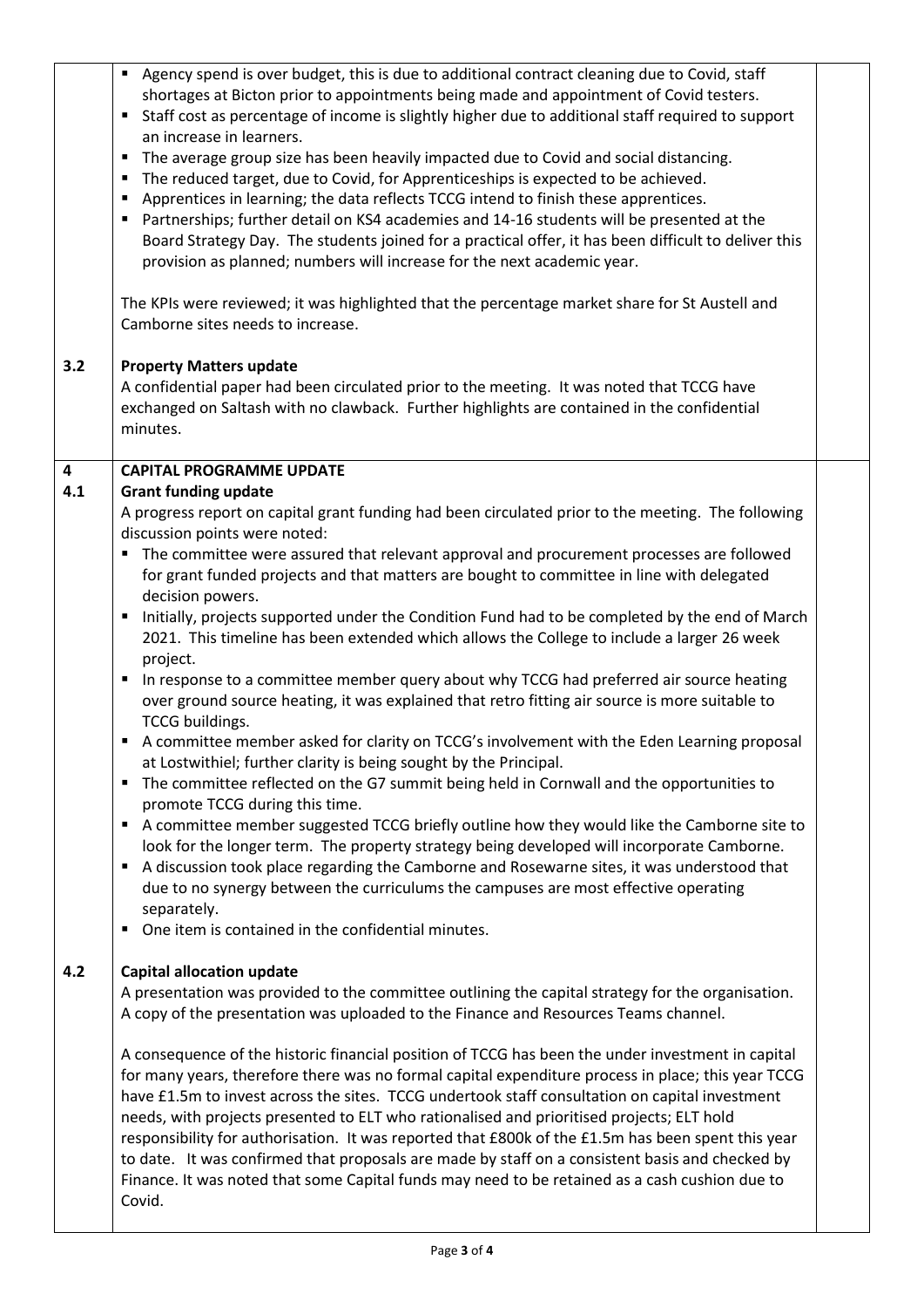|          | Agency spend is over budget, this is due to additional contract cleaning due to Covid, staff<br>shortages at Bicton prior to appointments being made and appointment of Covid testers.<br>Staff cost as percentage of income is slightly higher due to additional staff required to support<br>٠<br>an increase in learners.<br>The average group size has been heavily impacted due to Covid and social distancing.<br>٠<br>The reduced target, due to Covid, for Apprenticeships is expected to be achieved.<br>٠<br>Apprentices in learning; the data reflects TCCG intend to finish these apprentices.<br>٠<br>Partnerships; further detail on KS4 academies and 14-16 students will be presented at the<br>٠<br>Board Strategy Day. The students joined for a practical offer, it has been difficult to deliver this<br>provision as planned; numbers will increase for the next academic year.<br>The KPIs were reviewed; it was highlighted that the percentage market share for St Austell and<br>Camborne sites needs to increase.                                                                                                                                                                                                                                                                                                                                                                                                                                                                                                                                                                                                |  |
|----------|--------------------------------------------------------------------------------------------------------------------------------------------------------------------------------------------------------------------------------------------------------------------------------------------------------------------------------------------------------------------------------------------------------------------------------------------------------------------------------------------------------------------------------------------------------------------------------------------------------------------------------------------------------------------------------------------------------------------------------------------------------------------------------------------------------------------------------------------------------------------------------------------------------------------------------------------------------------------------------------------------------------------------------------------------------------------------------------------------------------------------------------------------------------------------------------------------------------------------------------------------------------------------------------------------------------------------------------------------------------------------------------------------------------------------------------------------------------------------------------------------------------------------------------------------------------------------------------------------------------------------------------------|--|
| 3.2      | <b>Property Matters update</b><br>A confidential paper had been circulated prior to the meeting. It was noted that TCCG have<br>exchanged on Saltash with no clawback. Further highlights are contained in the confidential<br>minutes.                                                                                                                                                                                                                                                                                                                                                                                                                                                                                                                                                                                                                                                                                                                                                                                                                                                                                                                                                                                                                                                                                                                                                                                                                                                                                                                                                                                                    |  |
| 4<br>4.1 | <b>CAPITAL PROGRAMME UPDATE</b><br><b>Grant funding update</b><br>A progress report on capital grant funding had been circulated prior to the meeting. The following<br>discussion points were noted:<br>The committee were assured that relevant approval and procurement processes are followed<br>for grant funded projects and that matters are bought to committee in line with delegated<br>decision powers.<br>Initially, projects supported under the Condition Fund had to be completed by the end of March<br>٠<br>2021. This timeline has been extended which allows the College to include a larger 26 week<br>project.<br>In response to a committee member query about why TCCG had preferred air source heating<br>٠<br>over ground source heating, it was explained that retro fitting air source is more suitable to<br><b>TCCG</b> buildings.<br>A committee member asked for clarity on TCCG's involvement with the Eden Learning proposal<br>٠<br>at Lostwithiel; further clarity is being sought by the Principal.<br>The committee reflected on the G7 summit being held in Cornwall and the opportunities to<br>٠<br>promote TCCG during this time.<br>A committee member suggested TCCG briefly outline how they would like the Camborne site to<br>look for the longer term. The property strategy being developed will incorporate Camborne.<br>A discussion took place regarding the Camborne and Rosewarne sites, it was understood that<br>٠<br>due to no synergy between the curriculums the campuses are most effective operating<br>separately.<br>One item is contained in the confidential minutes.<br>٠ |  |
| 4.2      | <b>Capital allocation update</b><br>A presentation was provided to the committee outlining the capital strategy for the organisation.<br>A copy of the presentation was uploaded to the Finance and Resources Teams channel.<br>A consequence of the historic financial position of TCCG has been the under investment in capital<br>for many years, therefore there was no formal capital expenditure process in place; this year TCCG<br>have £1.5m to invest across the sites. TCCG undertook staff consultation on capital investment<br>needs, with projects presented to ELT who rationalised and prioritised projects; ELT hold<br>responsibility for authorisation. It was reported that £800k of the £1.5m has been spent this year<br>to date. It was confirmed that proposals are made by staff on a consistent basis and checked by<br>Finance. It was noted that some Capital funds may need to be retained as a cash cushion due to<br>Covid.                                                                                                                                                                                                                                                                                                                                                                                                                                                                                                                                                                                                                                                                                |  |